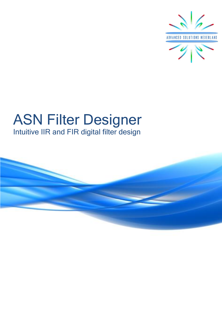



# ASN Filter Designer Intuitive IIR and FIR digital filter design

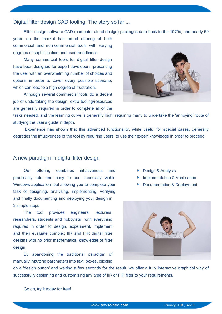Digital filter design CAD tooling: The story so far ...

Filter design software CAD (computer aided design) packages date back to the 1970s, and nearly 50

years on the market has broad offering of both commercial and non-commercial tools with varying degrees of sophistication and user friendliness.

Many commercial tools for digital filter design have been designed for expert developers, presenting the user with an overwhelming number of choices and options in order to cover every possible scenario, which can lead to a high degree of frustration.

Although several commercial tools do a decent job of undertaking the design, extra tooling/resources are generally required in order to complete all of the



tasks needed, and the learning curve is generally high, requiring many to undertake the 'annoying' route of studying the user's guide in depth.

Experience has shown that this advanced functionality, while useful for special cases, generally degrades the intuitiveness of the tool by requiring users to use their expert knowledge in order to proceed.

#### A new paradigm in digital filter design

Our offering combines intuitiveness and practicality into one easy to use financially viable Windows application tool allowing you to complete your task of designing, analysing, implementing, verifying and finally documenting and deploying your design in 3 simple steps.

The tool provides engineers, lecturers, researchers, students and hobbyists with everything required in order to design, experiment, implement and then evaluate complex IIR and FIR digital filter designs with no prior mathematical knowledge of filter design.

By abandoning the traditional paradigm of manually inputting parameters into text boxes, clicking

- ▶ Design & Analysis
- Implementation & Verification
- Documentation & Deployment



on a 'design button' and waiting a few seconds for the result, we offer a fully interactive graphical way of successfully designing and customising any type of IIR or FIR filter to your requirements.

Go on, try it today for free!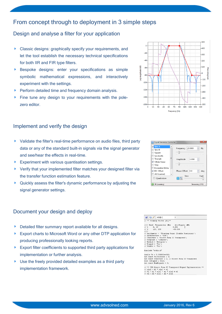## From concept through to deployment in 3 simple steps

#### Design and analyse a filter for your application

- Classic designs: graphically specify your requirements, and ь let the tool establish the necessary technical specifications for both IIR and FIR type filters.
- Bespoke designs: enter your specifications as simple symbolic mathematical expressions, and interactively experiment with the settings.
- Perform detailed time and frequency domain analysis.
- Fine tune any design to your requirements with the polezero editor.

#### Implement and verify the design

- Validate the filter's real-time performance on audio files, third party data or any of the standard built-in signals via the signal generator and see/hear the effects in real-time.
- Experiment with various quantisation settings.
- Verify that your implemented filter matches your designed filter via the transfer function estimation feature.
- Quickly assess the filter's dynamic performance by adjusting the signal generator settings.

#### Document your design and deploy

- Detailed filter summary report available for all designs.
- Export charts to Microsoft Word or any other DTP application for producing professionally looking reports.
- Export filter coefficients to supported third party applications for implementation or further analysis.
- Use the freely provided detailed examples as a third party implementation framework.



| Signal Generator Controller |   |                                                      |                                     |
|-----------------------------|---|------------------------------------------------------|-------------------------------------|
| Sine A                      | ▲ | 20.000<br>Frequency                                  | Hz                                  |
| Sine B                      |   |                                                      |                                     |
| Square                      |   |                                                      |                                     |
| Sawtooth                    |   |                                                      |                                     |
| Triangle                    | Ξ | 1.000<br>Amplitude                                   | ÷                                   |
| V White Noise               |   |                                                      |                                     |
| Step                        |   | $\sim$<br><b>Contract Contract</b><br><b>COLLEGE</b> | <b>College</b><br><b>CONTRACTOR</b> |
| Kronecker Delta             |   |                                                      |                                     |
| DC Offset                   |   | Phase Offset<br>0.0                                  | deg                                 |
| AM (carrier)                |   |                                                      |                                     |
| Quadrature                  |   | Slow                                                 | Fast                                |
| OK (running)                |   |                                                      | Streaming (ON)                      |

#### $\frac{1}{\sqrt{2}}$  \*\* Primary Filter (H1)\*\*

//// Band Frequencies (Hz)  $\text{Att/Ripple (dB)}$ <br>
//1 0, 25<br>
//2 125, 250 -80.000<br>
//2 125, 250 -80.000<br>
///<br>
// Arithmetic = 'Floating Point (Double Precision)';<br>
// Architecture = 'Inter Form II Transposed';<br>
// Statucture = 'D #include "stdio.h"

double  $Fs = 5.000000e+002$ ;<br>int const FilterOrder = 5;<br>int const Structure = 2; // Direct Form II Transposed bool IsBiquad =  $true;$ <br>int const NumBiquads =  $3;$ 

| // ** IIR Direct Form II Transposed Biguad Implementation ** |  |
|--------------------------------------------------------------|--|
| $1/7$ v[n] = b0 * x[n] + wl                                  |  |
| // $w1 = b1 * xfn1 - a1 * vfn1 + w2$                         |  |
| // $w2 = b2 * x[n] - a2 * y[n]$                              |  |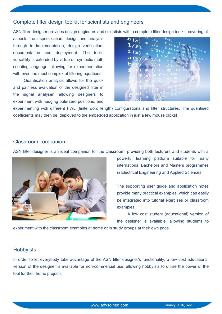#### Complete filter design toolkit for scientists and engineers

ASN filter designer provides design engineers and scientists with a complete filter design toolkit, covering all

aspects from specification, design and analysis through to implementation, design verification, documentation and deployment. The tool's versatility is extended by virtue of symbolic math scripting language, allowing for experimentation with even the most complex of filtering equations.

Quantisation analysis allows for the quick and painless evaluation of the designed filter in the signal analyser, allowing designers to experiment with nudging pole-zero positions, and



experimenting with different FWL (finite word length) configurations and filter structures. The quantised coefficients may then be deployed to the embedded application in just a few mouse clicks!

#### Classroom companion

ASN filter designer is an ideal companion for the classroom, providing both lecturers and students with a



powerful learning platform suitable for many international Bachelors and Masters programmes in Electrical Engineering and Applied Sciences.

The supporting user guide and application notes provide many practical examples, which can easily be integrated into tutorial exercises or classroom examples.

A low cost student (educational) version of the designer is available, allowing students to

experiment with the classroom examples at home or in study groups at their own pace.

#### **Hobbyists**

In order to let everybody take advantage of the ASN filter designer's functionality, a low cost educational version of the designer is available for non-commercial use, allowing hobbyists to utilise the power of the tool for their home projects.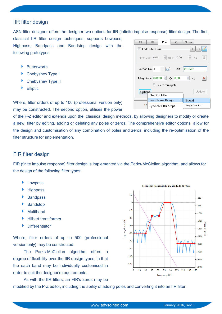#### IIR filter design

ASN filter designer offers the designer two options for IIR (infinite impulse response) filter design. The first,

classical IIR filter design techniques, supports Lowpass, Highpass, Bandpass and Bandstop design with the following prototypes:

- ▶ Butterworth
- ▶ Chebyshev Type I
- ▶ Chebyshev Type II
- **Elliptic**

Where, filter orders of up to 100 (professional version only) may be constructed. The second option, utilises the power

of the P-Z editor and extends upon the classical design methods, by allowing designers to modify or create a new filter by editing, adding or deleting any poles or zeros. The comprehensive editor options allow for the design and customisation of any combination of poles and zeros, including the re-optimisation of the filter structure for implementation.

#### FIR filter design

FIR (finite impulse response) filter design is implemented via the Parks-McClellan algorithm, and allows for the design of the following filter types:

- Lowpass
- **Highpass**
- ١ Bandpass
- ь Bandstop
- Þ Multiband
- Hilbert transformer b
- ь **Differentiator**

Where, filter orders of up to 500 (professional version only) may be constructed.

The Parks-McClellan algorithm offers a degree of flexibility over the IIR design types, in that the each band may be individually customised in order to suit the designer's requirements.

As with the IIR filters, an FIR's zeros may be modified by the P-Z editor, including the ability of adding poles and converting it into an IIR filter.

| <b>IIR</b>                                                    | <b>FIR</b>                   | P-Z                    | Q                       | Notes          |         |  |
|---------------------------------------------------------------|------------------------------|------------------------|-------------------------|----------------|---------|--|
|                                                               | 0  <br>X<br>Lock Filter Gain |                        |                         |                |         |  |
| Filter Gain                                                   | 0.00                         |                        | $\frac{1}{r}$ dB @ 0.00 |                | Hz<br>≘ |  |
| Section No 1                                                  |                              | <b>G</b>               | Gain                    | 0.15607        |         |  |
| ÷<br>Magnitude 0.0000<br>0.00<br>$\times$<br>$^{\circ}$<br>Hz |                              |                        |                         |                |         |  |
| Select conjugate                                              |                              |                        |                         |                |         |  |
| Options                                                       |                              | New P-Z Filter         |                         |                | Update  |  |
|                                                               |                              | Re-optimise Design     | ٠                       | Biguad         |         |  |
| 1.5                                                           |                              | Symbolic Filter Script |                         | Single Section |         |  |

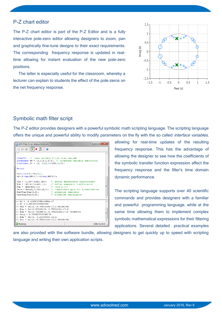#### P-Z chart editor

The P-Z chart editor is part of the P-Z Editor and is a fully interactive pole-zero editor allowing designers to zoom, pan and graphically fine-tune designs to their exact requirements. The corresponding frequency response is updated in realtime allowing for instant evaluation of the new pole-zero positions.

The latter is especially useful for the classroom, whereby a lecturer can explain to students the effect of the pole-zeros on the net frequency response.



#### Symbolic math filter script

The P-Z editor provides designers with a powerful symbolic math scripting language. The scripting language offers the unique and powerful ability to modify parameters on the fly with the so called *interface variables*,

| $\mathbf{x}$<br>والمرادي<br><b>IN ASN Filter Script (AllpassNotch.afs)</b>                                                      |
|---------------------------------------------------------------------------------------------------------------------------------|
| $\  \cdot \ _1 =$<br>DBH<br>0                                                                                                   |
| 77                                                                                                                              |
| ClearH1: // clear primary filter from cascade<br>interface BW = $(0, 2, 0.1, 0.5)$ ; // interface variable definition           |
| interface fc = $(0, fs/2, fs/100, fs/4)$ ;                                                                                      |
| Main()                                                                                                                          |
| $k1 = -cos(2*pi*fc/fs);$                                                                                                        |
| $k2 = (1-tan(BW/2)) / (1+tan(BW/2))$ ;                                                                                          |
| Den = $(1, k1*(1+k2), k2)$ ; // define denominator coefficients<br>Num = $(k2, k1*(1+k2), 1);$ // define numerator coefficients |
| Num = $(Num+Den)/2$ ; // $[1+A(z)]/2$                                                                                           |
| Gain = $Num(0,0)/Den(0,0)$ ; // compsensate gain for normalisation                                                              |
| $Num=Num/Num(0,0);$ // normalise numerator<br>$Den=Den/Den(0,0)$ :<br>// normalise denominator                                  |
|                                                                                                                                 |
| $\rightarrow$ k1 = -6.12303176911189e-17<br>▴                                                                                   |
| $\rightarrow$ k2 = 0.593191437480759                                                                                            |
| $\Rightarrow$ Den = 3x1(1,-9.7551618e-17,0.59319144)<br>$-$ > Num = $3x1(0.59319144, -9.7551618e-17, 1)$                        |
| $-$ > Num = 3x1(0.79659572,-9.7551618e-17,0.79659572)                                                                           |
| $\rightarrow$ Gain = 0.796595718740379                                                                                          |
| $\rightarrow$ Num = $3x1(1, -1.2246064e-16, 1)$                                                                                 |
| $\rightarrow$ Den = 3x1(1,-9.7551618e-17,0.59319144)                                                                            |
| Running<br>Editor Locked.                                                                                                       |

allowing for real-time updates of the resulting frequency response. This has the advantage of allowing the designer to see how the coefficients of the symbolic transfer function expression affect the frequency response and the filter's time domain dynamic performance.

The scripting language supports over 40 scientific commands and provides designers with a familiar and powerful programming language, while at the same time allowing them to implement complex symbolic mathematical expressions for their filtering applications. Several detailed practical examples

are also provided with the software bundle, allowing designers to get quickly up to speed with scripting language and writing their own application scripts.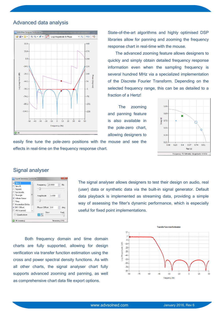

State-of-the-art algorithms and highly optimised DSP libraries allow for panning and zooming the frequency response chart in real-time with the mouse.

 The advanced zooming feature allows designers to quickly and simply obtain detailed frequency response information even when the sampling frequency is several hundred MHz via a specialized implementation of the Discrete Fourier Transform. Depending on the selected frequency range, this can be as detailed to a fraction of a Hertz!

The zooming and panning feature is also available in the pole-zero chart, allowing designers to



easily fine tune the pole-zero positions with the mouse and see the effects in real-time on the frequency response chart.

#### Signal analyser

| <b>ER Signal Generator Controller</b>                                                                                                                                                                          | х                                                                                                                                                          |
|----------------------------------------------------------------------------------------------------------------------------------------------------------------------------------------------------------------|------------------------------------------------------------------------------------------------------------------------------------------------------------|
| Sine A<br>▲<br>Sine B<br>Square<br>Sawtooth<br>Ξ<br>Triangle<br><b>White Noise</b><br>$\overline{\mathsf{v}}$<br>Step<br>Kronecker Delta<br>DC Offset<br>$\overline{\mathsf{v}}$<br>AM (carrier)<br>Ouadrature | $\frac{4}{x}$<br>20.000<br>Hz<br>Frequency<br>÷<br>1.000<br>Amplitude<br>- 11<br>$\mathbb{R}$<br>$\sim$<br>÷<br>0.0<br>Phase Offset<br>deg<br>Fast<br>Slow |
| OK (running)                                                                                                                                                                                                   | Streaming (ON)                                                                                                                                             |

The signal analyser allows designers to test their design on audio, real (user) data or synthetic data via the built-in signal generator. Default data playback is implemented as streaming data, providing a simple way of assessing the filter's dynamic performance, which is especially useful for fixed point implementations.

Both frequency domain and time domain charts are fully supported, allowing for design verification via transfer function estimation using the cross and power spectral density functions. As with all other charts, the signal analyser chart fully supports advanced zooming and panning, as well as comprehensive chart data file export options.



### Advanced data analysis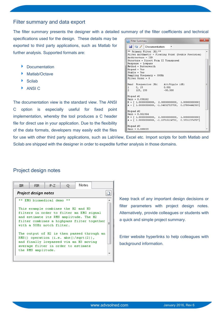#### Filter summary and data export

The filter summary presents the designer with a detailed summary of the filter coefficients and technical

specifications used for the design. These details may be exported to third party applications, such as Matlab for further analysis. Supported formats are:

- Documentation
- ▶ Matlab/Octave
- $\blacktriangleright$  Scilab
- $ANSIC$

The documentation view is the standard view. The ANSI C option is especially useful for fixed point implementation, whereby the tool produces a C header file for direct use in your application. Due to the flexibility of the data formats, developers may easily edit the files

**[8]** Filter Summary  $\Box$  a / Documentation \*\* Primary Filter (H1)\*\* Filter Arithmetic = Floating Point (Double Precision) Architecture =  $IIR$ Structure = Direct Form II Transposed  $RESDOSE = LOWDASS$ Method = Butterworth Biquad = Yes  $Stable = Yes$ Sampling Frequency = 500Hz Filter Order =  $8$ Att/Ripple (dB) Band Frequencies (Hz)  $0.001$  $\mathbf 1$  $0, 25$  $125, 250$  $\overline{a}$  $-80.000$ Biquad #1  $Gain = 0.058262$  $B = [1.00000000000, 2.00000000000, 1.00000000000]$ <br>A = [ 1.000000000000, -1.04632725709, 0.27884442565] Biquad #2  $Gain = 0.061564$  $B = [1.00000000000, 2.00000000000, 1.0000000000]$  $A = [1.00000000000, -1.10710124732, 0.35312374707]$ Biouad #3  $\sin = 0.068835$ 

for use with other third party applications, such as LabView, Excel etc. Import scripts for both Matlab and Scilab are shipped with the designer in order to expedite further analysis in those domains.

#### Project design notes

| <b>IIR</b> | FIR.                                                                                       | P-Z | О    | Notes                                                                                                                            |   |
|------------|--------------------------------------------------------------------------------------------|-----|------|----------------------------------------------------------------------------------------------------------------------------------|---|
|            | Project design notes                                                                       |     |      |                                                                                                                                  |   |
|            | ** EMG biomedical demo<br>This example combines the H2 and H3<br>with a 50Hz notch filter. |     | $**$ | filters in order to filter an EMG signal<br>and estimate its RMS amplitude. The H2<br>filter combines a highpass filter together | Ξ |
|            | average filter in order to estimate<br>the RMS amplitude.                                  |     |      | The output of H2 is then passed through an<br>RMS() operation (i.e. abs()/sqrt(2)),<br>and finally lowpassed via an H3 moving    |   |

Keep track of any important design decisions or filter parameters with project design notes. Alternatively, provide colleagues or students with a quick and simple project summary.

Enter website hyperlinks to help colleagues with background information.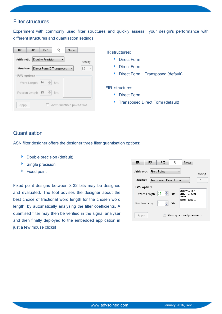#### Filter structures

Experiment with commonly used filter structures and quickly assess your design's performance with different structures and quantisation settings.

| Q<br>$P-Z$<br><b>IIR</b><br><b>FIR</b><br>Notes               | <b>IIR</b> structures:                  |
|---------------------------------------------------------------|-----------------------------------------|
| Double Precision<br>Arithmetic<br>scaling                     | Direct Form I                           |
| L2<br>Structure<br>Direct Form II Transposed<br>$\mathcal{R}$ | Direct Form II                          |
| FWL options                                                   | Direct Form II Transposed (default)     |
| I÷<br>16<br>Word Length<br><b>Bits</b>                        |                                         |
|                                                               | <b>FIR structures:</b>                  |
| $\frac{1}{x}$<br>15<br>Fraction Length<br><b>Bits</b>         | <b>Direct Form</b>                      |
| Show quantised poles/zeros<br>Apply                           | <b>Transposed Direct Form (default)</b> |

#### **Quantisation**

ASN filter designer offers the designer three filter quantisation options:

- ▶ Double precision (default)
- ▶ Single precision
- $\blacktriangleright$  Fixed point

Fixed point designs between 8-32 bits may be designed and evaluated. The tool advises the designer about the best choice of fractional word length for the chosen word length, by automatically analysing the filter coefficients. A quantised filter may then be verified in the signal analyser and then finally deployed to the embedded application in just a few mouse clicks!

| ΠR         | <b>FIR</b>         | $P-Z$                         | О    | Notes                             |         |  |
|------------|--------------------|-------------------------------|------|-----------------------------------|---------|--|
| Arithmetic |                    | <b>Fixed Point</b>            |      |                                   | scaling |  |
| Structure  |                    | <b>Transposed Direct Form</b> |      |                                   | L2      |  |
|            | <b>FWL</b> options |                               |      |                                   |         |  |
|            | Word Length        | ÷<br>16                       | Bits | Max=0.2557<br>Min=-0.0201<br>**** |         |  |
|            | Fraction Length    | ÷<br>15                       | Bits | RFWL=15Bits                       |         |  |
| Apply      |                    |                               |      | Show quantised poles/zeros        |         |  |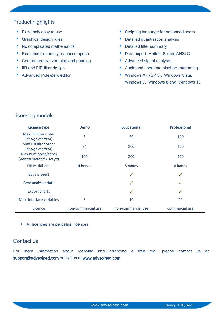#### Product highlights

- Extremely easy to use
- ۶ Graphical design rules
- No complicated mathematics ×
- ٠ Real-time frequency response update
- × Comprehensive zooming and panning
- **IIR and FIR filter design** ٠
- Advanced Pole-Zero editor ٠
- Scripting language for advanced users
- Detailed quantisation analysis
- Detailed filter summary
- Þ Data export: Matlab, Scilab, ANSI C
- **Advanced signal analyser**
- Audio and user data playback streaming
- ▶ Windows XP (SP 3), Windows Vista, Windows 7, Windows 8 and Windows 10

#### Licensing models

| <b>Licence type</b>                             | <b>Demo</b>        | <b>Educational</b> | <b>Professional</b> |
|-------------------------------------------------|--------------------|--------------------|---------------------|
| Max IIR filter order<br>(design method)         | 6                  | 20                 | 100                 |
| Max FIR filter order<br>(design method)         | 64                 | 200                | 499                 |
| Max num poles/zeros<br>(design method + script) | 100                | 200                | 499                 |
| <b>FIR Multiband</b>                            | 4 bands            | 5 bands            | 8 bands             |
| Save project                                    |                    |                    |                     |
| Save analyser data                              |                    |                    |                     |
| <b>Export charts</b>                            |                    |                    |                     |
| Max interface variables                         | 3                  | 10                 | 20                  |
| Licence                                         | non-commercial use | non-commercial use | commercial use      |

All licences are perpetual licences.

#### Contact us

For more information about licensing and arranging a free trial, please contact us at support@advsolned.com or visit us at www.advsolned.com.